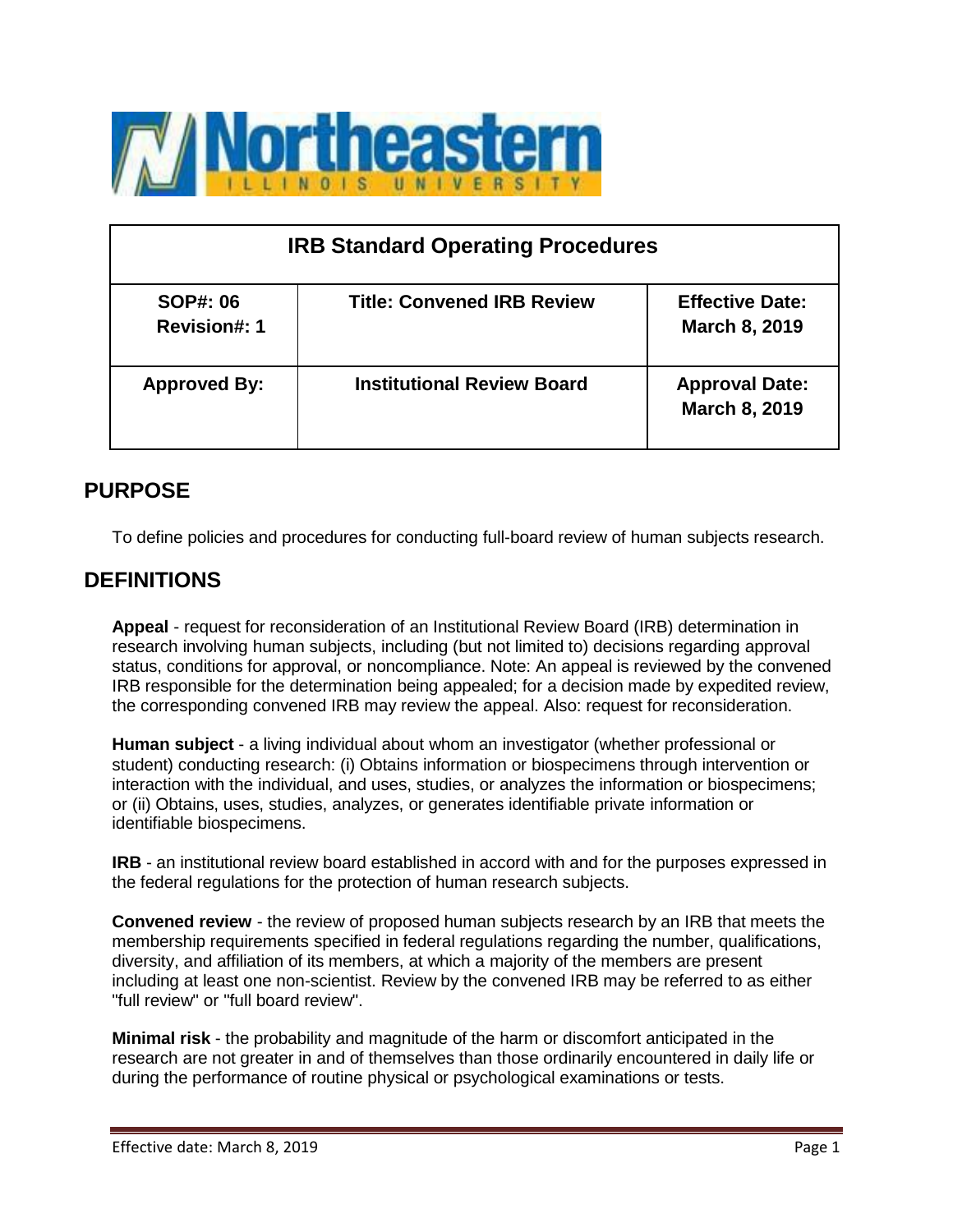

| <b>IRB Standard Operating Procedures</b> |                                   |                                         |  |  |
|------------------------------------------|-----------------------------------|-----------------------------------------|--|--|
| <b>SOP#: 06</b><br><b>Revision#: 1</b>   | <b>Title: Convened IRB Review</b> | <b>Effective Date:</b><br>March 8, 2019 |  |  |
| <b>Approved By:</b>                      | <b>Institutional Review Board</b> | <b>Approval Date:</b><br>March 8, 2019  |  |  |

# **PURPOSE**

To define policies and procedures for conducting full-board review of human subjects research.

# **DEFINITIONS**

**Appeal** - request for reconsideration of an Institutional Review Board (IRB) determination in research involving human subjects, including (but not limited to) decisions regarding approval status, conditions for approval, or noncompliance. Note: An appeal is reviewed by the convened IRB responsible for the determination being appealed; for a decision made by expedited review, the corresponding convened IRB may review the appeal. Also: request for reconsideration.

**Human subject** - a living individual about whom an investigator (whether professional or student) conducting research: (i) Obtains information or biospecimens through intervention or interaction with the individual, and uses, studies, or analyzes the information or biospecimens; or (ii) Obtains, uses, studies, analyzes, or generates identifiable private information or identifiable biospecimens.

**IRB** - an institutional review board established in accord with and for the purposes expressed in the federal regulations for the protection of human research subjects.

**Convened review** - the review of proposed human subjects research by an IRB that meets the membership requirements specified in federal regulations regarding the number, qualifications, diversity, and affiliation of its members, at which a majority of the members are present including at least one non-scientist. Review by the convened IRB may be referred to as either "full review" or "full board review".

**Minimal risk** - the probability and magnitude of the harm or discomfort anticipated in the research are not greater in and of themselves than those ordinarily encountered in daily life or during the performance of routine physical or psychological examinations or tests.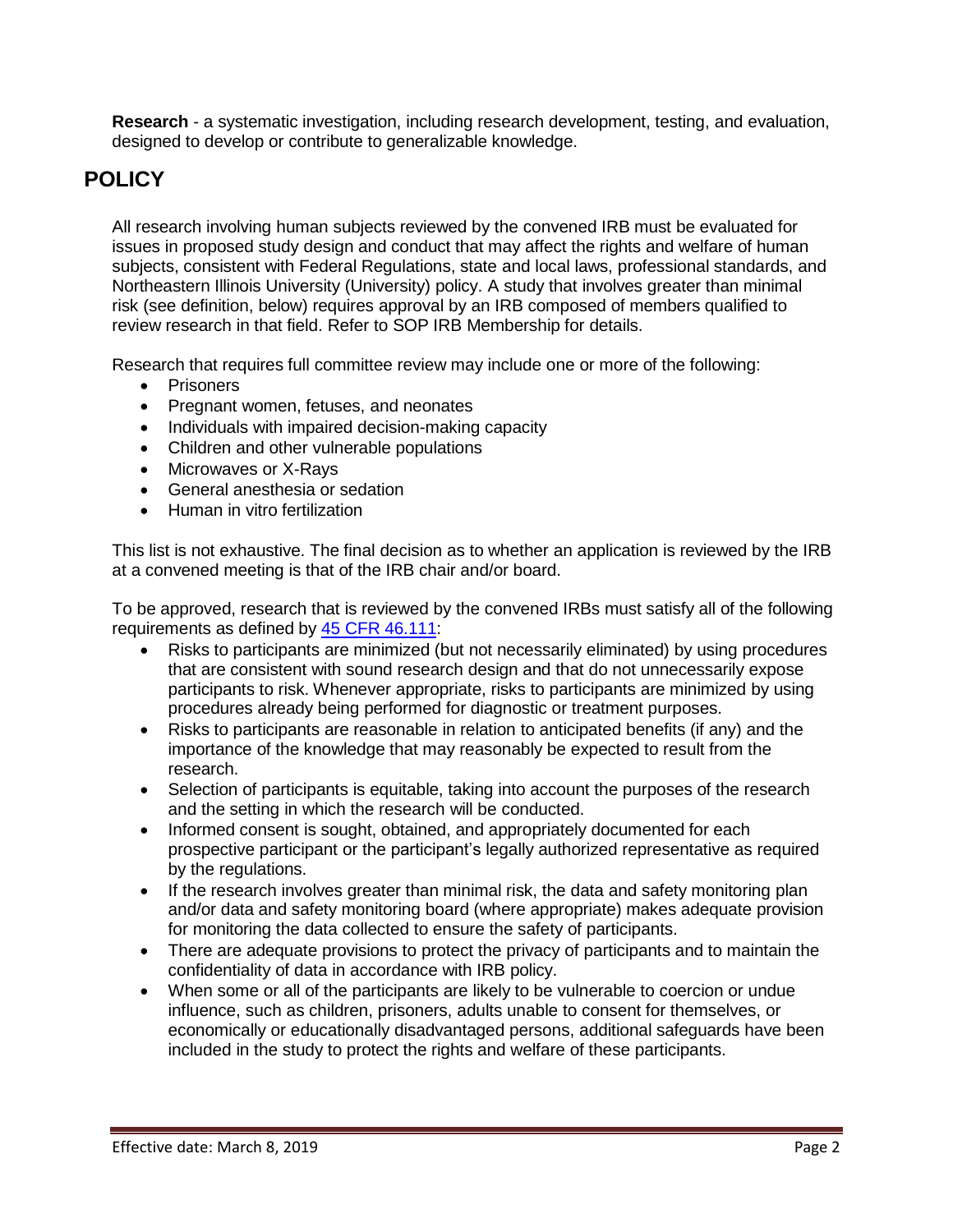**Research** - a systematic investigation, including research development, testing, and evaluation, designed to develop or contribute to generalizable knowledge.

# **POLICY**

All research involving human subjects reviewed by the convened IRB must be evaluated for issues in proposed study design and conduct that may affect the rights and welfare of human subjects, consistent with Federal Regulations, state and local laws, professional standards, and Northeastern Illinois University (University) policy. A study that involves greater than minimal risk (see definition, below) requires approval by an IRB composed of members qualified to review research in that field. Refer to SOP IRB Membership for details.

Research that requires full committee review may include one or more of the following:

- Prisoners
- Pregnant women, fetuses, and neonates
- Individuals with impaired decision-making capacity
- Children and other vulnerable populations
- Microwaves or X-Rays
- General anesthesia or sedation
- Human in vitro fertilization

This list is not exhaustive. The final decision as to whether an application is reviewed by the IRB at a convened meeting is that of the IRB chair and/or board.

To be approved, research that is reviewed by the convened IRBs must satisfy all of the following requirements as defined by [45 CFR 46.111:](https://www.hhs.gov/ohrp/regulations-and-policy/regulations/45-cfr-46/index.html)

- Risks to participants are minimized (but not necessarily eliminated) by using procedures that are consistent with sound research design and that do not unnecessarily expose participants to risk. Whenever appropriate, risks to participants are minimized by using procedures already being performed for diagnostic or treatment purposes.
- Risks to participants are reasonable in relation to anticipated benefits (if any) and the importance of the knowledge that may reasonably be expected to result from the research.
- Selection of participants is equitable, taking into account the purposes of the research and the setting in which the research will be conducted.
- Informed consent is sought, obtained, and appropriately documented for each prospective participant or the participant's legally authorized representative as required by the regulations.
- If the research involves greater than minimal risk, the data and safety monitoring plan and/or data and safety monitoring board (where appropriate) makes adequate provision for monitoring the data collected to ensure the safety of participants.
- There are adequate provisions to protect the privacy of participants and to maintain the confidentiality of data in accordance with IRB policy.
- When some or all of the participants are likely to be vulnerable to coercion or undue influence, such as children, prisoners, adults unable to consent for themselves, or economically or educationally disadvantaged persons, additional safeguards have been included in the study to protect the rights and welfare of these participants.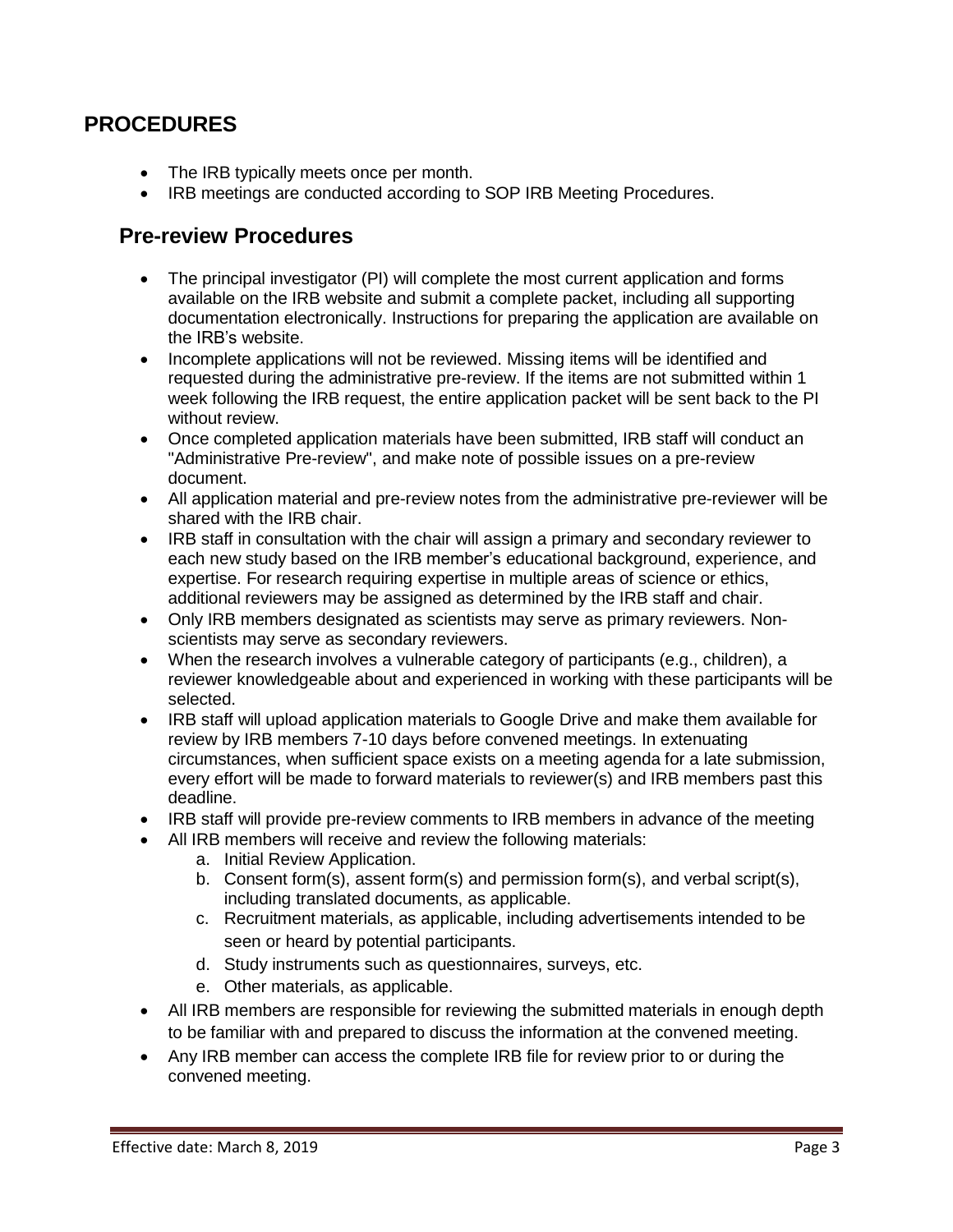#### **PROCEDURES**

- The IRB typically meets once per month.
- IRB meetings are conducted according to SOP IRB Meeting Procedures.

#### **Pre-review Procedures**

- The principal investigator (PI) will complete the most current application and forms available on the IRB website and submit a complete packet, including all supporting documentation electronically. Instructions for preparing the application are available on the IRB's website.
- Incomplete applications will not be reviewed. Missing items will be identified and requested during the administrative pre-review. If the items are not submitted within 1 week following the IRB request, the entire application packet will be sent back to the PI without review.
- Once completed application materials have been submitted, IRB staff will conduct an "Administrative Pre-review", and make note of possible issues on a pre-review document.
- All application material and pre-review notes from the administrative pre-reviewer will be shared with the IRB chair.
- IRB staff in consultation with the chair will assign a primary and secondary reviewer to each new study based on the IRB member's educational background, experience, and expertise. For research requiring expertise in multiple areas of science or ethics, additional reviewers may be assigned as determined by the IRB staff and chair.
- Only IRB members designated as scientists may serve as primary reviewers. Nonscientists may serve as secondary reviewers.
- When the research involves a vulnerable category of participants (e.g., children), a reviewer knowledgeable about and experienced in working with these participants will be selected.
- IRB staff will upload application materials to Google Drive and make them available for review by IRB members 7-10 days before convened meetings. In extenuating circumstances, when sufficient space exists on a meeting agenda for a late submission, every effort will be made to forward materials to reviewer(s) and IRB members past this deadline.
- IRB staff will provide pre-review comments to IRB members in advance of the meeting
- All IRB members will receive and review the following materials:
	- a. Initial Review Application.
	- b. Consent form(s), assent form(s) and permission form(s), and verbal script(s), including translated documents, as applicable.
	- c. Recruitment materials, as applicable, including advertisements intended to be seen or heard by potential participants.
	- d. Study instruments such as questionnaires, surveys, etc.
	- e. Other materials, as applicable.
- All IRB members are responsible for reviewing the submitted materials in enough depth to be familiar with and prepared to discuss the information at the convened meeting.
- Any IRB member can access the complete IRB file for review prior to or during the convened meeting.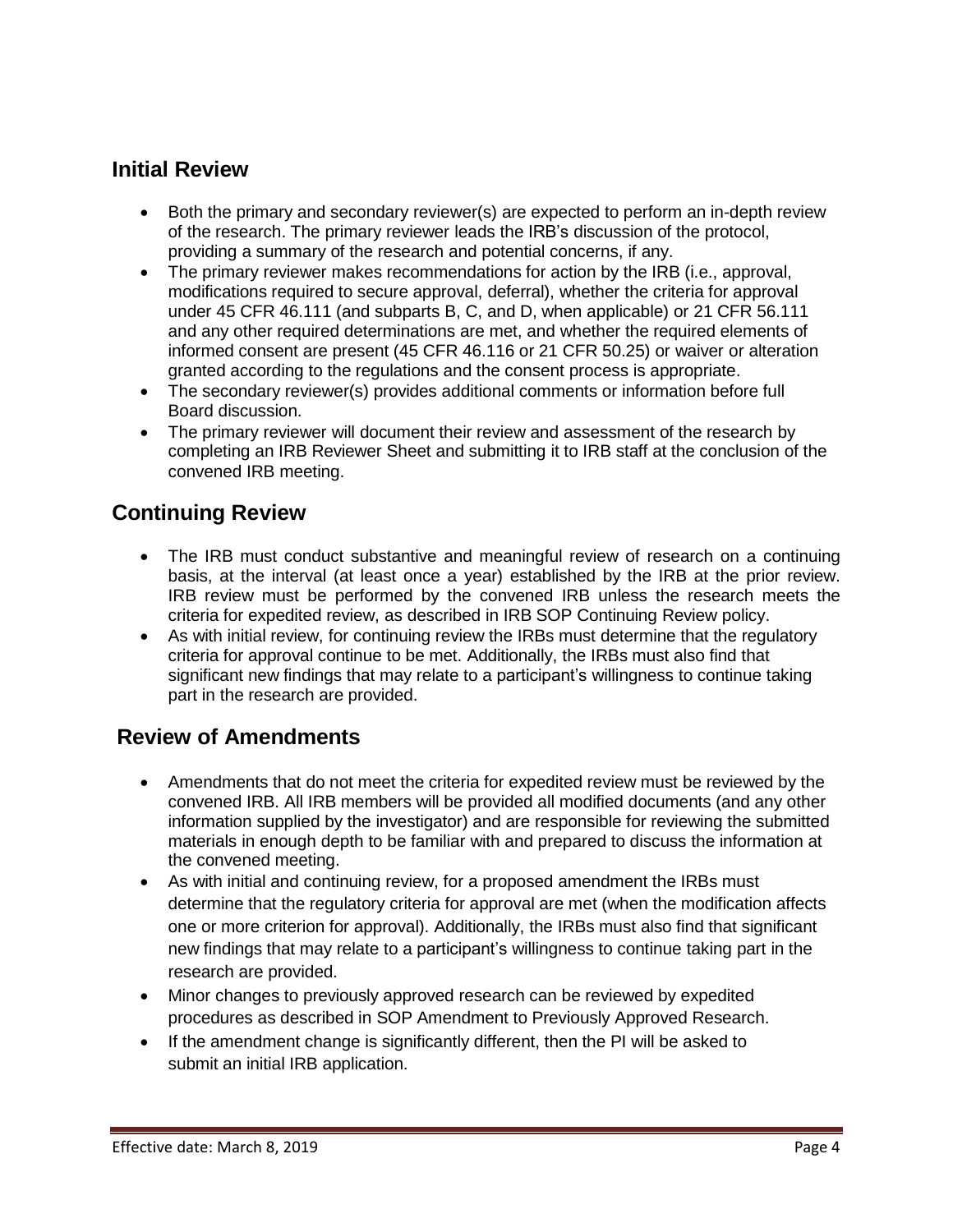### **Initial Review**

- Both the primary and secondary reviewer(s) are expected to perform an in-depth review of the research. The primary reviewer leads the IRB's discussion of the protocol, providing a summary of the research and potential concerns, if any.
- The primary reviewer makes recommendations for action by the IRB (i.e., approval, modifications required to secure approval, deferral), whether the criteria for approval under 45 CFR 46.111 (and subparts B, C, and D, when applicable) or 21 CFR 56.111 and any other required determinations are met, and whether the required elements of informed consent are present (45 CFR 46.116 or 21 CFR 50.25) or waiver or alteration granted according to the regulations and the consent process is appropriate.
- The secondary reviewer(s) provides additional comments or information before full Board discussion.
- The primary reviewer will document their review and assessment of the research by completing an IRB Reviewer Sheet and submitting it to IRB staff at the conclusion of the convened IRB meeting.

# **Continuing Review**

- The IRB must conduct substantive and meaningful review of research on a continuing basis, at the interval (at least once a year) established by the IRB at the prior review. IRB review must be performed by the convened IRB unless the research meets the criteria for expedited review, as described in IRB SOP Continuing Review policy.
- As with initial review, for continuing review the IRBs must determine that the regulatory criteria for approval continue to be met. Additionally, the IRBs must also find that significant new findings that may relate to a participant's willingness to continue taking part in the research are provided.

#### **Review of Amendments**

- Amendments that do not meet the criteria for expedited review must be reviewed by the convened IRB. All IRB members will be provided all modified documents (and any other information supplied by the investigator) and are responsible for reviewing the submitted materials in enough depth to be familiar with and prepared to discuss the information at the convened meeting.
- As with initial and continuing review, for a proposed amendment the IRBs must determine that the regulatory criteria for approval are met (when the modification affects one or more criterion for approval). Additionally, the IRBs must also find that significant new findings that may relate to a participant's willingness to continue taking part in the research are provided.
- Minor changes to previously approved research can be reviewed by expedited procedures as described in SOP Amendment to Previously Approved Research.
- If the amendment change is significantly different, then the PI will be asked to submit an initial IRB application.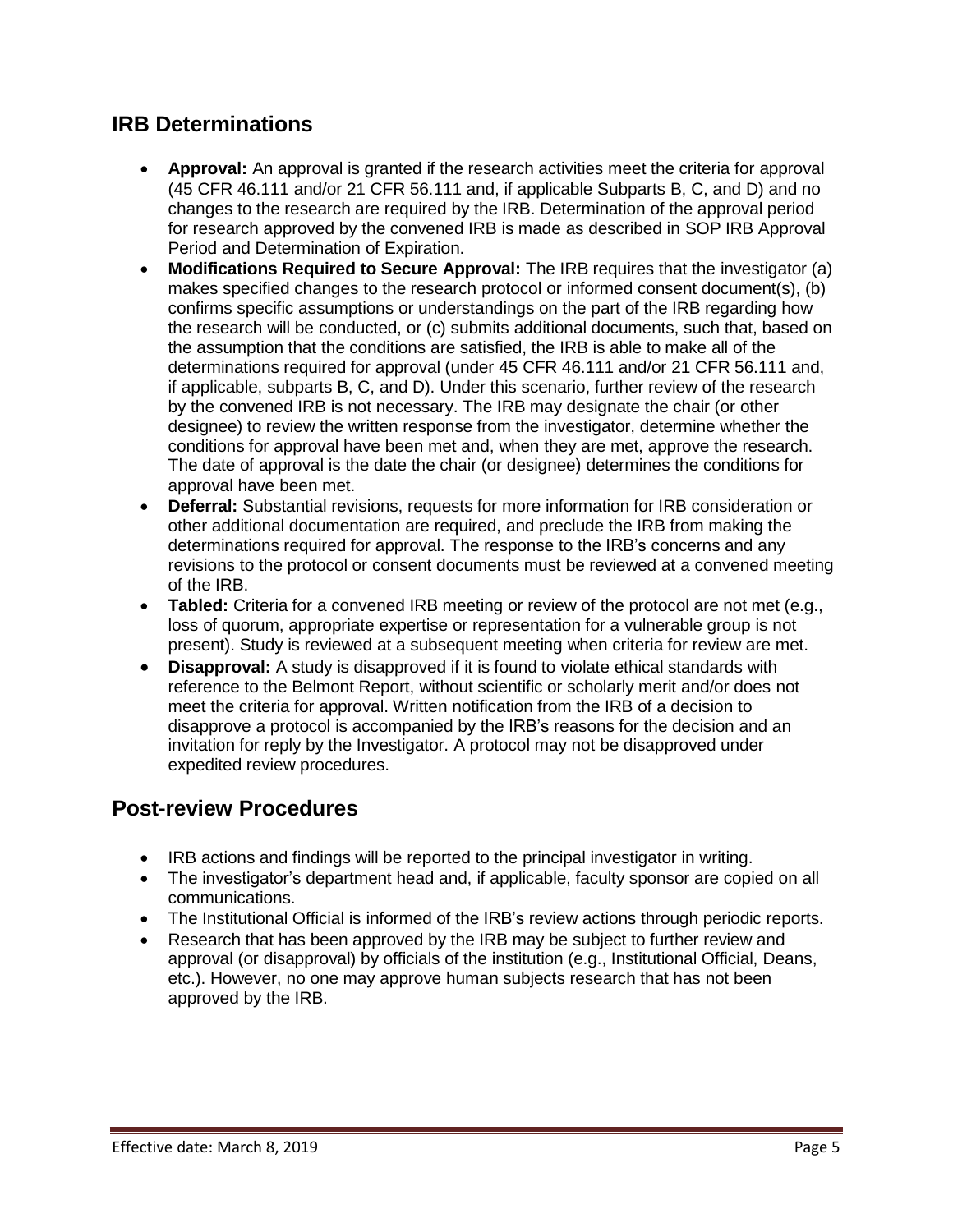# **IRB Determinations**

- **Approval:** An approval is granted if the research activities meet the criteria for approval (45 CFR 46.111 and/or 21 CFR 56.111 and, if applicable Subparts B, C, and D) and no changes to the research are required by the IRB. Determination of the approval period for research approved by the convened IRB is made as described in SOP IRB Approval Period and Determination of Expiration.
- **Modifications Required to Secure Approval:** The IRB requires that the investigator (a) makes specified changes to the research protocol or informed consent document(s), (b) confirms specific assumptions or understandings on the part of the IRB regarding how the research will be conducted, or (c) submits additional documents, such that, based on the assumption that the conditions are satisfied, the IRB is able to make all of the determinations required for approval (under 45 CFR 46.111 and/or 21 CFR 56.111 and, if applicable, subparts B, C, and D). Under this scenario, further review of the research by the convened IRB is not necessary. The IRB may designate the chair (or other designee) to review the written response from the investigator, determine whether the conditions for approval have been met and, when they are met, approve the research. The date of approval is the date the chair (or designee) determines the conditions for approval have been met.
- **Deferral:** Substantial revisions, requests for more information for IRB consideration or other additional documentation are required, and preclude the IRB from making the determinations required for approval. The response to the IRB's concerns and any revisions to the protocol or consent documents must be reviewed at a convened meeting of the IRB.
- **Tabled:** Criteria for a convened IRB meeting or review of the protocol are not met (e.g., loss of quorum, appropriate expertise or representation for a vulnerable group is not present). Study is reviewed at a subsequent meeting when criteria for review are met.
- **Disapproval:** A study is disapproved if it is found to violate ethical standards with reference to the Belmont Report, without scientific or scholarly merit and/or does not meet the criteria for approval. Written notification from the IRB of a decision to disapprove a protocol is accompanied by the IRB's reasons for the decision and an invitation for reply by the Investigator. A protocol may not be disapproved under expedited review procedures.

#### **Post-review Procedures**

- IRB actions and findings will be reported to the principal investigator in writing.
- The investigator's department head and, if applicable, faculty sponsor are copied on all communications.
- The Institutional Official is informed of the IRB's review actions through periodic reports.
- Research that has been approved by the IRB may be subject to further review and approval (or disapproval) by officials of the institution (e.g., Institutional Official, Deans, etc.). However, no one may approve human subjects research that has not been approved by the IRB.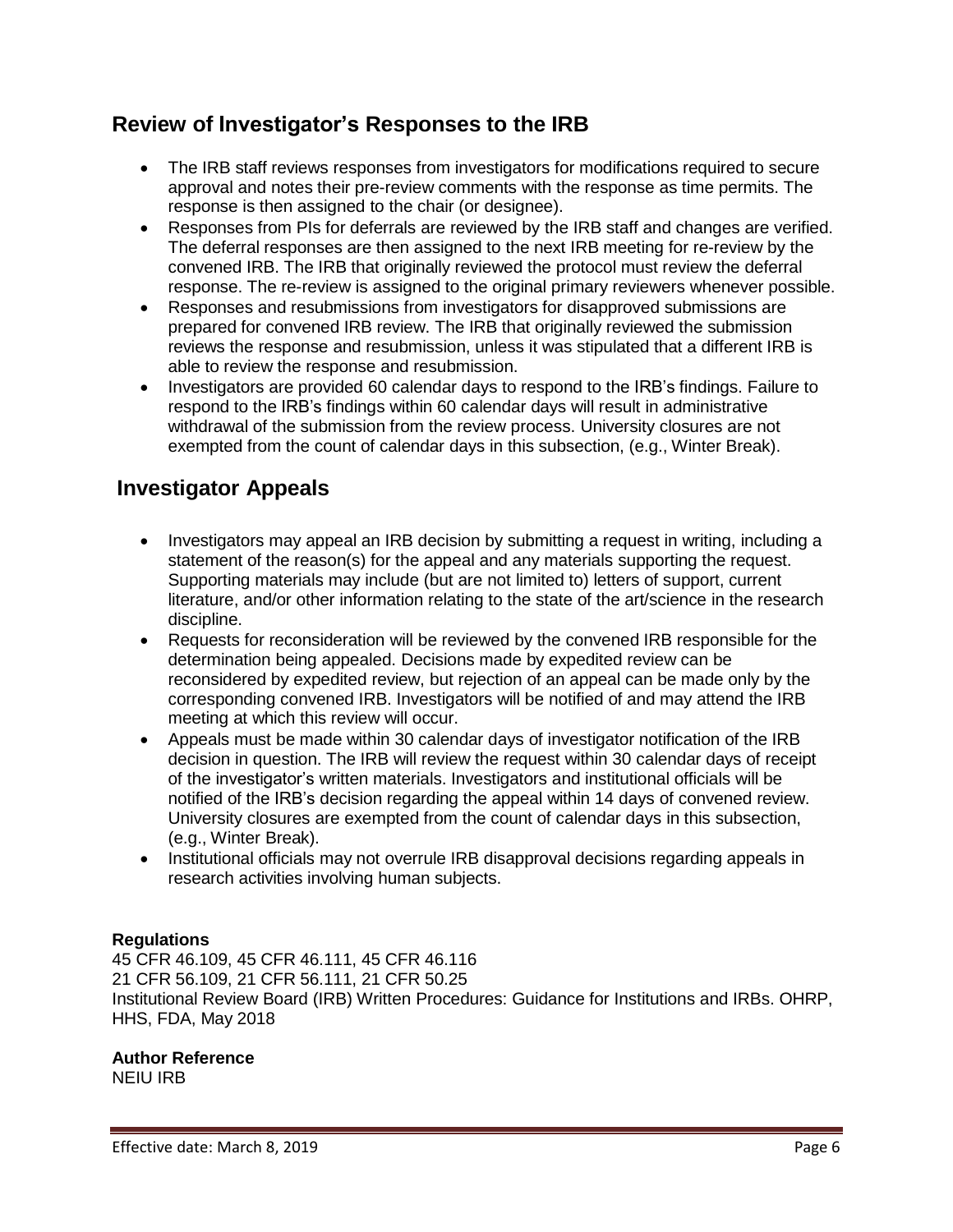#### **Review of Investigator's Responses to the IRB**

- The IRB staff reviews responses from investigators for modifications required to secure approval and notes their pre-review comments with the response as time permits. The response is then assigned to the chair (or designee).
- Responses from PIs for deferrals are reviewed by the IRB staff and changes are verified. The deferral responses are then assigned to the next IRB meeting for re-review by the convened IRB. The IRB that originally reviewed the protocol must review the deferral response. The re-review is assigned to the original primary reviewers whenever possible.
- Responses and resubmissions from investigators for disapproved submissions are prepared for convened IRB review. The IRB that originally reviewed the submission reviews the response and resubmission, unless it was stipulated that a different IRB is able to review the response and resubmission.
- Investigators are provided 60 calendar days to respond to the IRB's findings. Failure to respond to the IRB's findings within 60 calendar days will result in administrative withdrawal of the submission from the review process. University closures are not exempted from the count of calendar days in this subsection, (e.g., Winter Break).

# **Investigator Appeals**

- Investigators may appeal an IRB decision by submitting a request in writing, including a statement of the reason(s) for the appeal and any materials supporting the request. Supporting materials may include (but are not limited to) letters of support, current literature, and/or other information relating to the state of the art/science in the research discipline.
- Requests for reconsideration will be reviewed by the convened IRB responsible for the determination being appealed. Decisions made by expedited review can be reconsidered by expedited review, but rejection of an appeal can be made only by the corresponding convened IRB. Investigators will be notified of and may attend the IRB meeting at which this review will occur.
- Appeals must be made within 30 calendar days of investigator notification of the IRB decision in question. The IRB will review the request within 30 calendar days of receipt of the investigator's written materials. Investigators and institutional officials will be notified of the IRB's decision regarding the appeal within 14 days of convened review. University closures are exempted from the count of calendar days in this subsection, (e.g., Winter Break).
- Institutional officials may not overrule IRB disapproval decisions regarding appeals in research activities involving human subjects.

#### **Regulations**

45 CFR 46.109, 45 CFR 46.111, 45 CFR 46.116 21 CFR 56.109, 21 CFR 56.111, 21 CFR 50.25 Institutional Review Board (IRB) Written Procedures: Guidance for Institutions and IRBs. OHRP, HHS, FDA, May 2018

#### **Author Reference**

NEIU IRB